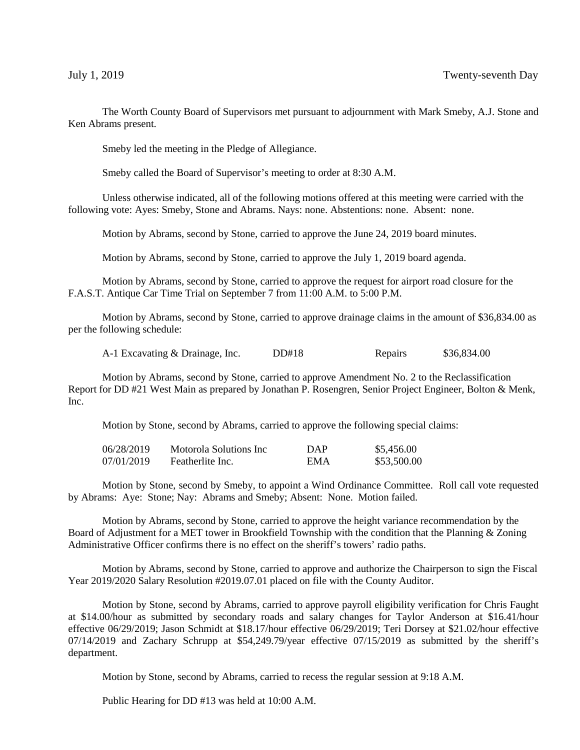The Worth County Board of Supervisors met pursuant to adjournment with Mark Smeby, A.J. Stone and Ken Abrams present.

Smeby led the meeting in the Pledge of Allegiance.

Smeby called the Board of Supervisor's meeting to order at 8:30 A.M.

Unless otherwise indicated, all of the following motions offered at this meeting were carried with the following vote: Ayes: Smeby, Stone and Abrams. Nays: none. Abstentions: none. Absent: none.

Motion by Abrams, second by Stone, carried to approve the June 24, 2019 board minutes.

Motion by Abrams, second by Stone, carried to approve the July 1, 2019 board agenda.

Motion by Abrams, second by Stone, carried to approve the request for airport road closure for the F.A.S.T. Antique Car Time Trial on September 7 from 11:00 A.M. to 5:00 P.M.

Motion by Abrams, second by Stone, carried to approve drainage claims in the amount of \$36,834.00 as per the following schedule:

A-1 Excavating & Drainage, Inc. DD#18 Repairs \$36,834.00

Motion by Abrams, second by Stone, carried to approve Amendment No. 2 to the Reclassification Report for DD #21 West Main as prepared by Jonathan P. Rosengren, Senior Project Engineer, Bolton & Menk, Inc.

Motion by Stone, second by Abrams, carried to approve the following special claims:

| 06/28/2019 | Motorola Solutions Inc | DAP | \$5,456.00  |
|------------|------------------------|-----|-------------|
| 07/01/2019 | Featherlite Inc.       | EMA | \$53,500.00 |

Motion by Stone, second by Smeby, to appoint a Wind Ordinance Committee. Roll call vote requested by Abrams: Aye: Stone; Nay: Abrams and Smeby; Absent: None. Motion failed.

Motion by Abrams, second by Stone, carried to approve the height variance recommendation by the Board of Adjustment for a MET tower in Brookfield Township with the condition that the Planning & Zoning Administrative Officer confirms there is no effect on the sheriff's towers' radio paths.

Motion by Abrams, second by Stone, carried to approve and authorize the Chairperson to sign the Fiscal Year 2019/2020 Salary Resolution #2019.07.01 placed on file with the County Auditor.

Motion by Stone, second by Abrams, carried to approve payroll eligibility verification for Chris Faught at \$14.00/hour as submitted by secondary roads and salary changes for Taylor Anderson at \$16.41/hour effective 06/29/2019; Jason Schmidt at \$18.17/hour effective 06/29/2019; Teri Dorsey at \$21.02/hour effective 07/14/2019 and Zachary Schrupp at \$54,249.79/year effective 07/15/2019 as submitted by the sheriff's department.

Motion by Stone, second by Abrams, carried to recess the regular session at 9:18 A.M.

Public Hearing for DD #13 was held at 10:00 A.M.